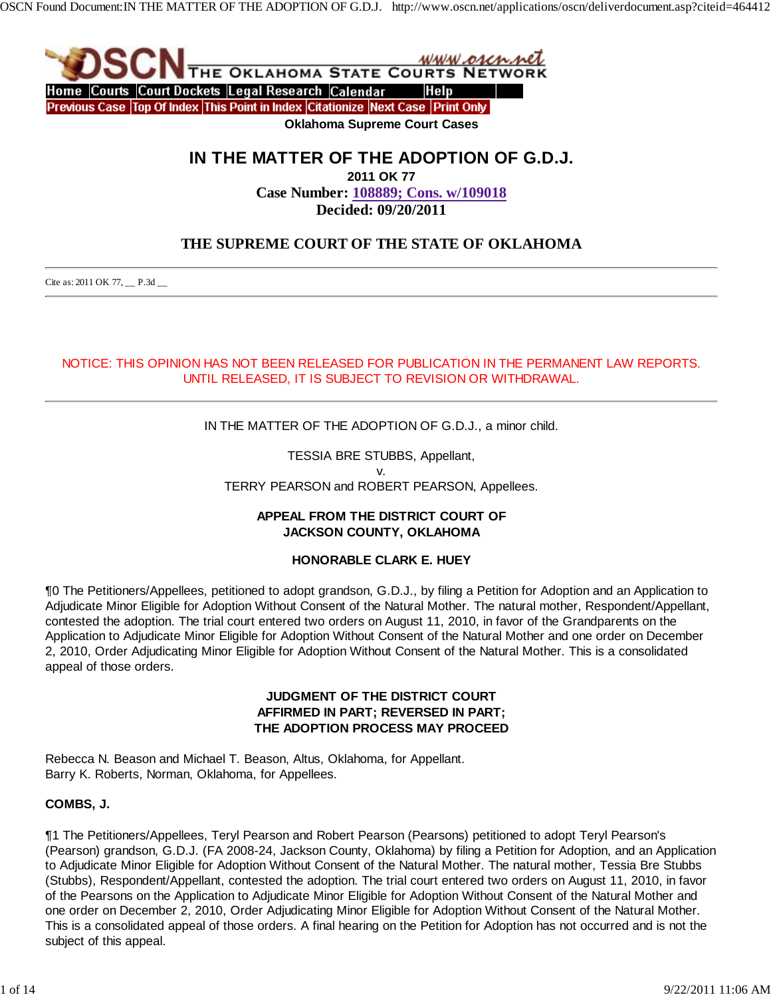

**IN THE MATTER OF THE ADOPTION OF G.D.J.**

**2011 OK 77**

**Case Number: 108889; Cons. w/109018 Decided: 09/20/2011**

# **THE SUPREME COURT OF THE STATE OF OKLAHOMA**

Cite as: 2011 OK 77, \_\_ P.3d \_\_

# NOTICE: THIS OPINION HAS NOT BEEN RELEASED FOR PUBLICATION IN THE PERMANENT LAW REPORTS. UNTIL RELEASED, IT IS SUBJECT TO REVISION OR WITHDRAWAL.

IN THE MATTER OF THE ADOPTION OF G.D.J., a minor child.

TESSIA BRE STUBBS, Appellant, v. TERRY PEARSON and ROBERT PEARSON, Appellees.

### **APPEAL FROM THE DISTRICT COURT OF JACKSON COUNTY, OKLAHOMA**

### **HONORABLE CLARK E. HUEY**

¶0 The Petitioners/Appellees, petitioned to adopt grandson, G.D.J., by filing a Petition for Adoption and an Application to Adjudicate Minor Eligible for Adoption Without Consent of the Natural Mother. The natural mother, Respondent/Appellant, contested the adoption. The trial court entered two orders on August 11, 2010, in favor of the Grandparents on the Application to Adjudicate Minor Eligible for Adoption Without Consent of the Natural Mother and one order on December 2, 2010, Order Adjudicating Minor Eligible for Adoption Without Consent of the Natural Mother. This is a consolidated appeal of those orders.

### **JUDGMENT OF THE DISTRICT COURT AFFIRMED IN PART; REVERSED IN PART; THE ADOPTION PROCESS MAY PROCEED**

Rebecca N. Beason and Michael T. Beason, Altus, Oklahoma, for Appellant. Barry K. Roberts, Norman, Oklahoma, for Appellees.

### **COMBS, J.**

¶1 The Petitioners/Appellees, Teryl Pearson and Robert Pearson (Pearsons) petitioned to adopt Teryl Pearson's (Pearson) grandson, G.D.J. (FA 2008-24, Jackson County, Oklahoma) by filing a Petition for Adoption, and an Application to Adjudicate Minor Eligible for Adoption Without Consent of the Natural Mother. The natural mother, Tessia Bre Stubbs (Stubbs), Respondent/Appellant, contested the adoption. The trial court entered two orders on August 11, 2010, in favor of the Pearsons on the Application to Adjudicate Minor Eligible for Adoption Without Consent of the Natural Mother and one order on December 2, 2010, Order Adjudicating Minor Eligible for Adoption Without Consent of the Natural Mother. This is a consolidated appeal of those orders. A final hearing on the Petition for Adoption has not occurred and is not the subject of this appeal.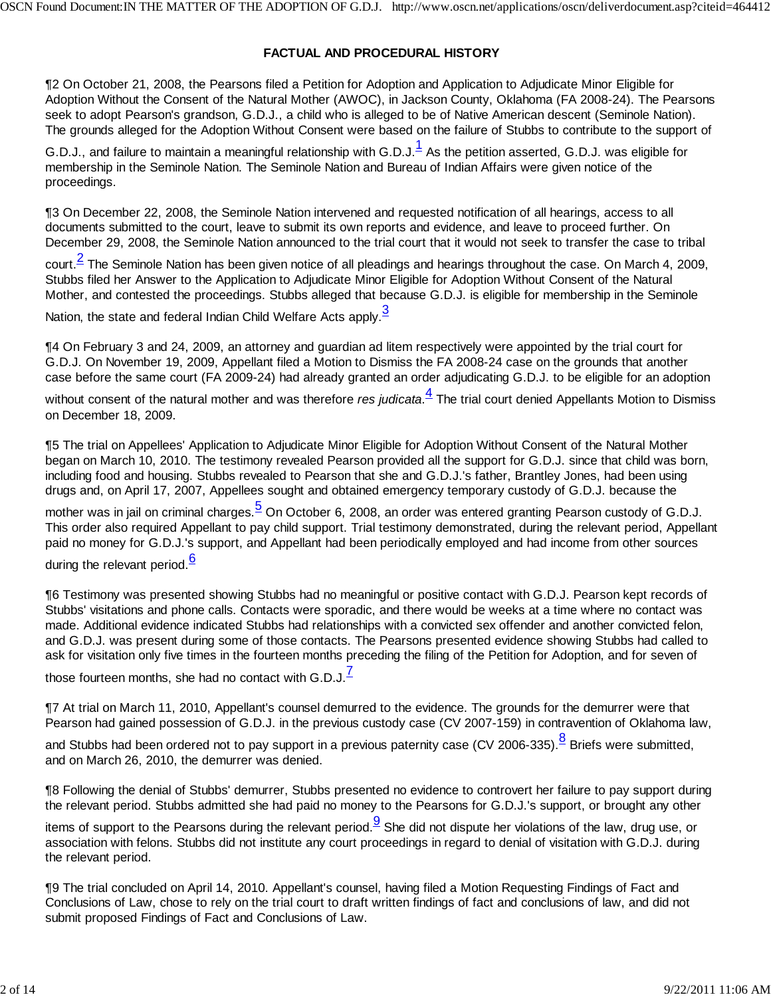#### **FACTUAL AND PROCEDURAL HISTORY**

¶2 On October 21, 2008, the Pearsons filed a Petition for Adoption and Application to Adjudicate Minor Eligible for Adoption Without the Consent of the Natural Mother (AWOC), in Jackson County, Oklahoma (FA 2008-24). The Pearsons seek to adopt Pearson's grandson, G.D.J., a child who is alleged to be of Native American descent (Seminole Nation). The grounds alleged for the Adoption Without Consent were based on the failure of Stubbs to contribute to the support of

G.D.J., and failure to maintain a meaningful relationship with G.D.J. $^{\rm 1}_{\rm }$  As the petition asserted, G.D.J. was eligible for membership in the Seminole Nation. The Seminole Nation and Bureau of Indian Affairs were given notice of the proceedings.

¶3 On December 22, 2008, the Seminole Nation intervened and requested notification of all hearings, access to all documents submitted to the court, leave to submit its own reports and evidence, and leave to proceed further. On December 29, 2008, the Seminole Nation announced to the trial court that it would not seek to transfer the case to tribal

court.<sup>2</sup> The Seminole Nation has been given notice of all pleadings and hearings throughout the case. On March 4, 2009, Stubbs filed her Answer to the Application to Adjudicate Minor Eligible for Adoption Without Consent of the Natural Mother, and contested the proceedings. Stubbs alleged that because G.D.J. is eligible for membership in the Seminole

Nation, the state and federal Indian Child Welfare Acts apply. $\frac{3}{2}$ 

¶4 On February 3 and 24, 2009, an attorney and guardian ad litem respectively were appointed by the trial court for G.D.J. On November 19, 2009, Appellant filed a Motion to Dismiss the FA 2008-24 case on the grounds that another case before the same court (FA 2009-24) had already granted an order adjudicating G.D.J. to be eligible for an adoption

without consent of the natural mother and was therefore *res judicata*. 4 The trial court denied Appellants Motion to Dismiss on December 18, 2009.

¶5 The trial on Appellees' Application to Adjudicate Minor Eligible for Adoption Without Consent of the Natural Mother began on March 10, 2010. The testimony revealed Pearson provided all the support for G.D.J. since that child was born, including food and housing. Stubbs revealed to Pearson that she and G.D.J.'s father, Brantley Jones, had been using drugs and, on April 17, 2007, Appellees sought and obtained emergency temporary custody of G.D.J. because the

mother was in jail on criminal charges.<sup>5</sup> On October 6, 2008, an order was entered granting Pearson custody of G.D.J. This order also required Appellant to pay child support. Trial testimony demonstrated, during the relevant period, Appellant paid no money for G.D.J.'s support, and Appellant had been periodically employed and had income from other sources during the relevant period.<sup>6</sup>

¶6 Testimony was presented showing Stubbs had no meaningful or positive contact with G.D.J. Pearson kept records of Stubbs' visitations and phone calls. Contacts were sporadic, and there would be weeks at a time where no contact was made. Additional evidence indicated Stubbs had relationships with a convicted sex offender and another convicted felon, and G.D.J. was present during some of those contacts. The Pearsons presented evidence showing Stubbs had called to ask for visitation only five times in the fourteen months preceding the filing of the Petition for Adoption, and for seven of

those fourteen months, she had no contact with G.D.J. $^7$ 

¶7 At trial on March 11, 2010, Appellant's counsel demurred to the evidence. The grounds for the demurrer were that Pearson had gained possession of G.D.J. in the previous custody case (CV 2007-159) in contravention of Oklahoma law,

and Stubbs had been ordered not to pay support in a previous paternity case (CV 2006-335).<sup>8</sup> Briefs were submitted, and on March 26, 2010, the demurrer was denied.

¶8 Following the denial of Stubbs' demurrer, Stubbs presented no evidence to controvert her failure to pay support during the relevant period. Stubbs admitted she had paid no money to the Pearsons for G.D.J.'s support, or brought any other

items of support to the Pearsons during the relevant period.  $\frac{9}{5}$  She did not dispute her violations of the law, drug use, or association with felons. Stubbs did not institute any court proceedings in regard to denial of visitation with G.D.J. during the relevant period.

¶9 The trial concluded on April 14, 2010. Appellant's counsel, having filed a Motion Requesting Findings of Fact and Conclusions of Law, chose to rely on the trial court to draft written findings of fact and conclusions of law, and did not submit proposed Findings of Fact and Conclusions of Law.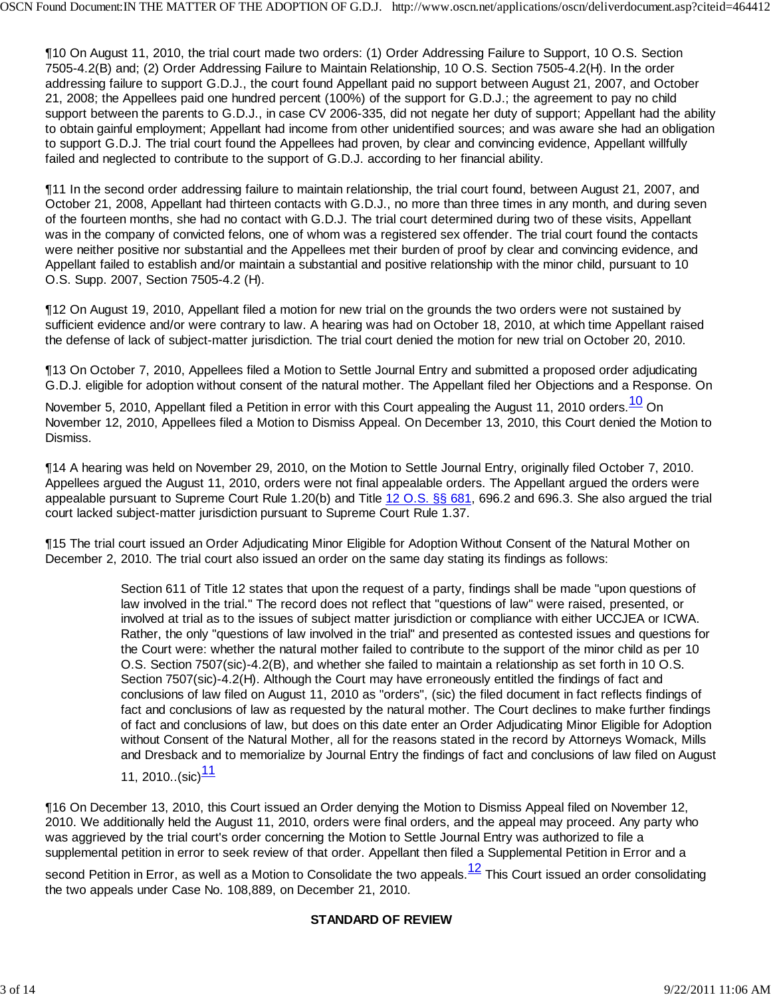¶10 On August 11, 2010, the trial court made two orders: (1) Order Addressing Failure to Support, 10 O.S. Section 7505-4.2(B) and; (2) Order Addressing Failure to Maintain Relationship, 10 O.S. Section 7505-4.2(H). In the order addressing failure to support G.D.J., the court found Appellant paid no support between August 21, 2007, and October 21, 2008; the Appellees paid one hundred percent (100%) of the support for G.D.J.; the agreement to pay no child support between the parents to G.D.J., in case CV 2006-335, did not negate her duty of support; Appellant had the ability to obtain gainful employment; Appellant had income from other unidentified sources; and was aware she had an obligation to support G.D.J. The trial court found the Appellees had proven, by clear and convincing evidence, Appellant willfully failed and neglected to contribute to the support of G.D.J. according to her financial ability.

¶11 In the second order addressing failure to maintain relationship, the trial court found, between August 21, 2007, and October 21, 2008, Appellant had thirteen contacts with G.D.J., no more than three times in any month, and during seven of the fourteen months, she had no contact with G.D.J. The trial court determined during two of these visits, Appellant was in the company of convicted felons, one of whom was a registered sex offender. The trial court found the contacts were neither positive nor substantial and the Appellees met their burden of proof by clear and convincing evidence, and Appellant failed to establish and/or maintain a substantial and positive relationship with the minor child, pursuant to 10 O.S. Supp. 2007, Section 7505-4.2 (H).

¶12 On August 19, 2010, Appellant filed a motion for new trial on the grounds the two orders were not sustained by sufficient evidence and/or were contrary to law. A hearing was had on October 18, 2010, at which time Appellant raised the defense of lack of subject-matter jurisdiction. The trial court denied the motion for new trial on October 20, 2010.

¶13 On October 7, 2010, Appellees filed a Motion to Settle Journal Entry and submitted a proposed order adjudicating G.D.J. eligible for adoption without consent of the natural mother. The Appellant filed her Objections and a Response. On

November 5, 2010, Appellant filed a Petition in error with this Court appealing the August 11, 2010 orders.<sup>10</sup> On November 12, 2010, Appellees filed a Motion to Dismiss Appeal. On December 13, 2010, this Court denied the Motion to Dismiss.

¶14 A hearing was held on November 29, 2010, on the Motion to Settle Journal Entry, originally filed October 7, 2010. Appellees argued the August 11, 2010, orders were not final appealable orders. The Appellant argued the orders were appealable pursuant to Supreme Court Rule 1.20(b) and Title 12 O.S. §§ 681, 696.2 and 696.3. She also argued the trial court lacked subject-matter jurisdiction pursuant to Supreme Court Rule 1.37.

¶15 The trial court issued an Order Adjudicating Minor Eligible for Adoption Without Consent of the Natural Mother on December 2, 2010. The trial court also issued an order on the same day stating its findings as follows:

> Section 611 of Title 12 states that upon the request of a party, findings shall be made "upon questions of law involved in the trial." The record does not reflect that "questions of law" were raised, presented, or involved at trial as to the issues of subject matter jurisdiction or compliance with either UCCJEA or ICWA. Rather, the only "questions of law involved in the trial" and presented as contested issues and questions for the Court were: whether the natural mother failed to contribute to the support of the minor child as per 10 O.S. Section 7507(sic)-4.2(B), and whether she failed to maintain a relationship as set forth in 10 O.S. Section 7507(sic)-4.2(H). Although the Court may have erroneously entitled the findings of fact and conclusions of law filed on August 11, 2010 as "orders", (sic) the filed document in fact reflects findings of fact and conclusions of law as requested by the natural mother. The Court declines to make further findings of fact and conclusions of law, but does on this date enter an Order Adjudicating Minor Eligible for Adoption without Consent of the Natural Mother, all for the reasons stated in the record by Attorneys Womack, Mills and Dresback and to memorialize by Journal Entry the findings of fact and conclusions of law filed on August

11, 2010..(sic)<sup>11</sup>

¶16 On December 13, 2010, this Court issued an Order denying the Motion to Dismiss Appeal filed on November 12, 2010. We additionally held the August 11, 2010, orders were final orders, and the appeal may proceed. Any party who was aggrieved by the trial court's order concerning the Motion to Settle Journal Entry was authorized to file a supplemental petition in error to seek review of that order. Appellant then filed a Supplemental Petition in Error and a

second Petition in Error, as well as a Motion to Consolidate the two appeals. $12$  This Court issued an order consolidating the two appeals under Case No. 108,889, on December 21, 2010.

### **STANDARD OF REVIEW**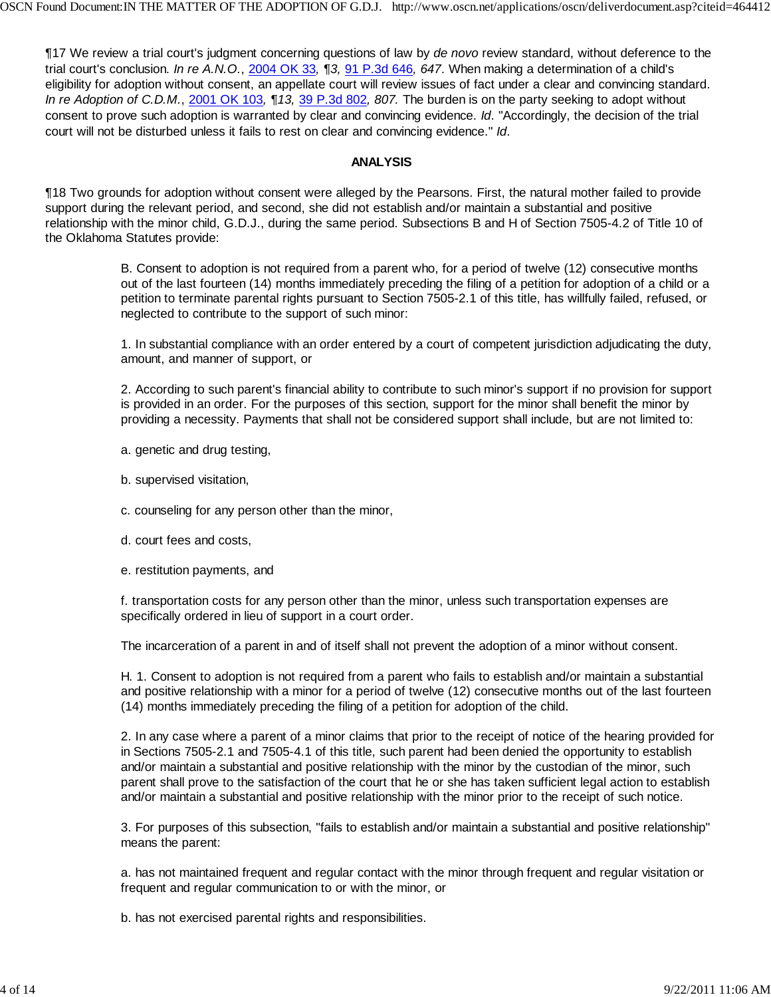¶17 We review a trial court's judgment concerning questions of law by *de novo* review standard, without deference to the trial court's conclusion. *In re A.N.O.*, 2004 OK 33*, ¶3,* 91 P.3d 646*, 647*. When making a determination of a child's eligibility for adoption without consent, an appellate court will review issues of fact under a clear and convincing standard. *In re Adoption of C.D.M.*, 2001 OK 103*, ¶13,* 39 P.3d 802*, 807.* The burden is on the party seeking to adopt without consent to prove such adoption is warranted by clear and convincing evidence. *Id*. "Accordingly, the decision of the trial court will not be disturbed unless it fails to rest on clear and convincing evidence." *Id*.

#### **ANALYSIS**

¶18 Two grounds for adoption without consent were alleged by the Pearsons. First, the natural mother failed to provide support during the relevant period, and second, she did not establish and/or maintain a substantial and positive relationship with the minor child, G.D.J., during the same period. Subsections B and H of Section 7505-4.2 of Title 10 of the Oklahoma Statutes provide:

> B. Consent to adoption is not required from a parent who, for a period of twelve (12) consecutive months out of the last fourteen (14) months immediately preceding the filing of a petition for adoption of a child or a petition to terminate parental rights pursuant to Section 7505-2.1 of this title, has willfully failed, refused, or neglected to contribute to the support of such minor:

> 1. In substantial compliance with an order entered by a court of competent jurisdiction adjudicating the duty, amount, and manner of support, or

> 2. According to such parent's financial ability to contribute to such minor's support if no provision for support is provided in an order. For the purposes of this section, support for the minor shall benefit the minor by providing a necessity. Payments that shall not be considered support shall include, but are not limited to:

a. genetic and drug testing,

- b. supervised visitation,
- c. counseling for any person other than the minor,
- d. court fees and costs,
- e. restitution payments, and

f. transportation costs for any person other than the minor, unless such transportation expenses are specifically ordered in lieu of support in a court order.

The incarceration of a parent in and of itself shall not prevent the adoption of a minor without consent.

H. 1. Consent to adoption is not required from a parent who fails to establish and/or maintain a substantial and positive relationship with a minor for a period of twelve (12) consecutive months out of the last fourteen (14) months immediately preceding the filing of a petition for adoption of the child.

2. In any case where a parent of a minor claims that prior to the receipt of notice of the hearing provided for in Sections 7505-2.1 and 7505-4.1 of this title, such parent had been denied the opportunity to establish and/or maintain a substantial and positive relationship with the minor by the custodian of the minor, such parent shall prove to the satisfaction of the court that he or she has taken sufficient legal action to establish and/or maintain a substantial and positive relationship with the minor prior to the receipt of such notice.

3. For purposes of this subsection, "fails to establish and/or maintain a substantial and positive relationship" means the parent:

a. has not maintained frequent and regular contact with the minor through frequent and regular visitation or frequent and regular communication to or with the minor, or

b. has not exercised parental rights and responsibilities.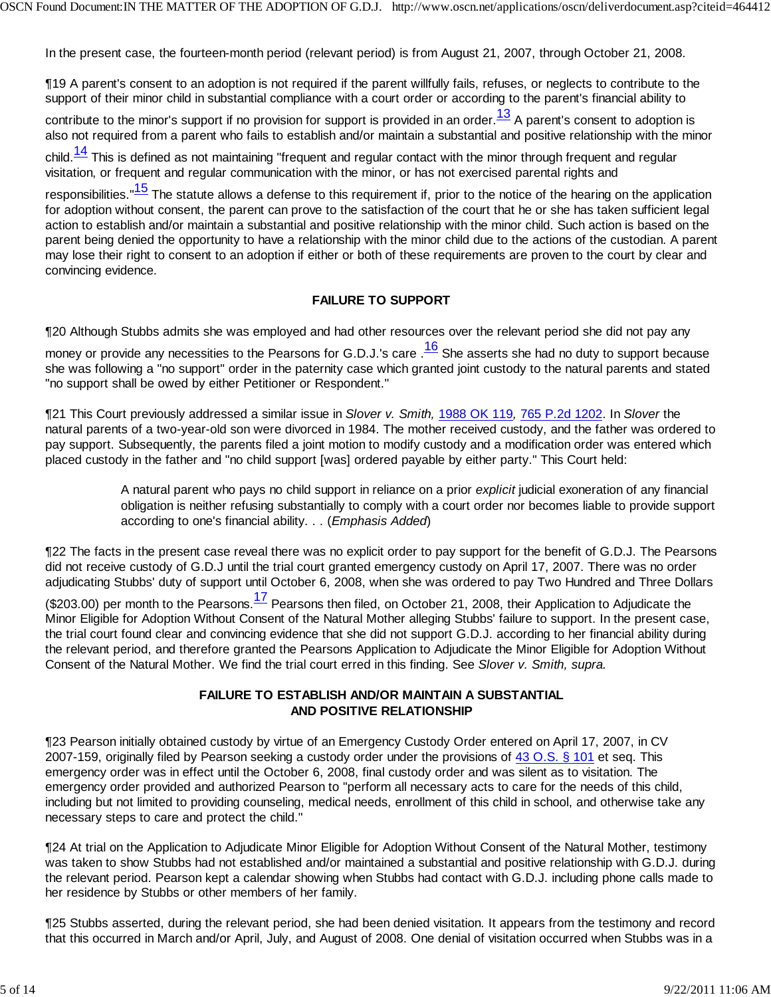In the present case, the fourteen-month period (relevant period) is from August 21, 2007, through October 21, 2008.

¶19 A parent's consent to an adoption is not required if the parent willfully fails, refuses, or neglects to contribute to the support of their minor child in substantial compliance with a court order or according to the parent's financial ability to

contribute to the minor's support if no provision for support is provided in an order.<sup>13</sup> A parent's consent to adoption is also not required from a parent who fails to establish and/or maintain a substantial and positive relationship with the minor

child. $\frac{14}{1}$  This is defined as not maintaining "frequent and regular contact with the minor through frequent and regular visitation, or frequent and regular communication with the minor, or has not exercised parental rights and

responsibilities."<sup>15</sup> The statute allows a defense to this requirement if, prior to the notice of the hearing on the application for adoption without consent, the parent can prove to the satisfaction of the court that he or she has taken sufficient legal action to establish and/or maintain a substantial and positive relationship with the minor child. Such action is based on the parent being denied the opportunity to have a relationship with the minor child due to the actions of the custodian. A parent may lose their right to consent to an adoption if either or both of these requirements are proven to the court by clear and convincing evidence.

#### **FAILURE TO SUPPORT**

¶20 Although Stubbs admits she was employed and had other resources over the relevant period she did not pay any

money or provide any necessities to the Pearsons for G.D.J.'s care  $\frac{16}{16}$  She asserts she had no duty to support because she was following a "no support" order in the paternity case which granted joint custody to the natural parents and stated "no support shall be owed by either Petitioner or Respondent."

¶21 This Court previously addressed a similar issue in *Slover v. Smith,* 1988 OK 119*,* 765 P.2d 1202. In *Slover* the natural parents of a two-year-old son were divorced in 1984. The mother received custody, and the father was ordered to pay support. Subsequently, the parents filed a joint motion to modify custody and a modification order was entered which placed custody in the father and "no child support [was] ordered payable by either party." This Court held:

> A natural parent who pays no child support in reliance on a prior *explicit* judicial exoneration of any financial obligation is neither refusing substantially to comply with a court order nor becomes liable to provide support according to one's financial ability. . . (*Emphasis Added*)

¶22 The facts in the present case reveal there was no explicit order to pay support for the benefit of G.D.J. The Pearsons did not receive custody of G.D.J until the trial court granted emergency custody on April 17, 2007. There was no order adjudicating Stubbs' duty of support until October 6, 2008, when she was ordered to pay Two Hundred and Three Dollars

(\$203.00) per month to the Pearsons.<sup>17</sup> Pearsons then filed, on October 21, 2008, their Application to Adjudicate the Minor Eligible for Adoption Without Consent of the Natural Mother alleging Stubbs' failure to support. In the present case, the trial court found clear and convincing evidence that she did not support G.D.J. according to her financial ability during the relevant period, and therefore granted the Pearsons Application to Adjudicate the Minor Eligible for Adoption Without Consent of the Natural Mother. We find the trial court erred in this finding. See *Slover v. Smith, supra.*

#### **FAILURE TO ESTABLISH AND/OR MAINTAIN A SUBSTANTIAL AND POSITIVE RELATIONSHIP**

¶23 Pearson initially obtained custody by virtue of an Emergency Custody Order entered on April 17, 2007, in CV 2007-159, originally filed by Pearson seeking a custody order under the provisions of 43 O.S. § 101 et seq. This emergency order was in effect until the October 6, 2008, final custody order and was silent as to visitation. The emergency order provided and authorized Pearson to "perform all necessary acts to care for the needs of this child, including but not limited to providing counseling, medical needs, enrollment of this child in school, and otherwise take any necessary steps to care and protect the child."

¶24 At trial on the Application to Adjudicate Minor Eligible for Adoption Without Consent of the Natural Mother, testimony was taken to show Stubbs had not established and/or maintained a substantial and positive relationship with G.D.J. during the relevant period. Pearson kept a calendar showing when Stubbs had contact with G.D.J. including phone calls made to her residence by Stubbs or other members of her family.

¶25 Stubbs asserted, during the relevant period, she had been denied visitation. It appears from the testimony and record that this occurred in March and/or April, July, and August of 2008. One denial of visitation occurred when Stubbs was in a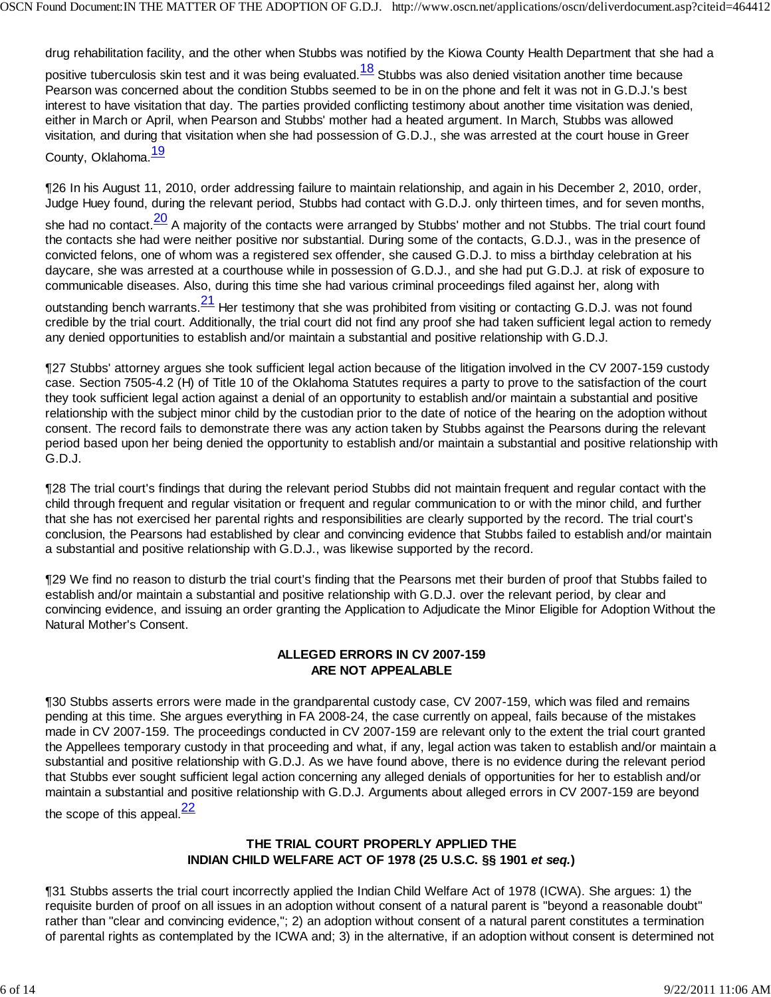drug rehabilitation facility, and the other when Stubbs was notified by the Kiowa County Health Department that she had a

positive tuberculosis skin test and it was being evaluated.<sup>18</sup> Stubbs was also denied visitation another time because Pearson was concerned about the condition Stubbs seemed to be in on the phone and felt it was not in G.D.J.'s best interest to have visitation that day. The parties provided conflicting testimony about another time visitation was denied, either in March or April, when Pearson and Stubbs' mother had a heated argument. In March, Stubbs was allowed visitation, and during that visitation when she had possession of G.D.J., she was arrested at the court house in Greer

County, Oklahoma.<sup>19</sup>

¶26 In his August 11, 2010, order addressing failure to maintain relationship, and again in his December 2, 2010, order, Judge Huey found, during the relevant period, Stubbs had contact with G.D.J. only thirteen times, and for seven months, she had no contact.<sup>20</sup> A majority of the contacts were arranged by Stubbs' mother and not Stubbs. The trial court found the contacts she had were neither positive nor substantial. During some of the contacts, G.D.J., was in the presence of convicted felons, one of whom was a registered sex offender, she caused G.D.J. to miss a birthday celebration at his daycare, she was arrested at a courthouse while in possession of G.D.J., and she had put G.D.J. at risk of exposure to communicable diseases. Also, during this time she had various criminal proceedings filed against her, along with outstanding bench warrants.  $\frac{21}{1}$  Her testimony that she was prohibited from visiting or contacting G.D.J. was not found credible by the trial court. Additionally, the trial court did not find any proof she had taken sufficient legal action to remedy any denied opportunities to establish and/or maintain a substantial and positive relationship with G.D.J.

¶27 Stubbs' attorney argues she took sufficient legal action because of the litigation involved in the CV 2007-159 custody case. Section 7505-4.2 (H) of Title 10 of the Oklahoma Statutes requires a party to prove to the satisfaction of the court they took sufficient legal action against a denial of an opportunity to establish and/or maintain a substantial and positive relationship with the subject minor child by the custodian prior to the date of notice of the hearing on the adoption without consent. The record fails to demonstrate there was any action taken by Stubbs against the Pearsons during the relevant period based upon her being denied the opportunity to establish and/or maintain a substantial and positive relationship with G.D.J.

¶28 The trial court's findings that during the relevant period Stubbs did not maintain frequent and regular contact with the child through frequent and regular visitation or frequent and regular communication to or with the minor child, and further that she has not exercised her parental rights and responsibilities are clearly supported by the record. The trial court's conclusion, the Pearsons had established by clear and convincing evidence that Stubbs failed to establish and/or maintain a substantial and positive relationship with G.D.J., was likewise supported by the record.

¶29 We find no reason to disturb the trial court's finding that the Pearsons met their burden of proof that Stubbs failed to establish and/or maintain a substantial and positive relationship with G.D.J. over the relevant period, by clear and convincing evidence, and issuing an order granting the Application to Adjudicate the Minor Eligible for Adoption Without the Natural Mother's Consent.

### **ALLEGED ERRORS IN CV 2007-159 ARE NOT APPEALABLE**

¶30 Stubbs asserts errors were made in the grandparental custody case, CV 2007-159, which was filed and remains pending at this time. She argues everything in FA 2008-24, the case currently on appeal, fails because of the mistakes made in CV 2007-159. The proceedings conducted in CV 2007-159 are relevant only to the extent the trial court granted the Appellees temporary custody in that proceeding and what, if any, legal action was taken to establish and/or maintain a substantial and positive relationship with G.D.J. As we have found above, there is no evidence during the relevant period that Stubbs ever sought sufficient legal action concerning any alleged denials of opportunities for her to establish and/or maintain a substantial and positive relationship with G.D.J. Arguments about alleged errors in CV 2007-159 are beyond

the scope of this appeal. $\frac{22}{3}$ 

### **THE TRIAL COURT PROPERLY APPLIED THE INDIAN CHILD WELFARE ACT OF 1978 (25 U.S.C. §§ 1901** *et seq.***)**

¶31 Stubbs asserts the trial court incorrectly applied the Indian Child Welfare Act of 1978 (ICWA). She argues: 1) the requisite burden of proof on all issues in an adoption without consent of a natural parent is "beyond a reasonable doubt" rather than "clear and convincing evidence,"; 2) an adoption without consent of a natural parent constitutes a termination of parental rights as contemplated by the ICWA and; 3) in the alternative, if an adoption without consent is determined not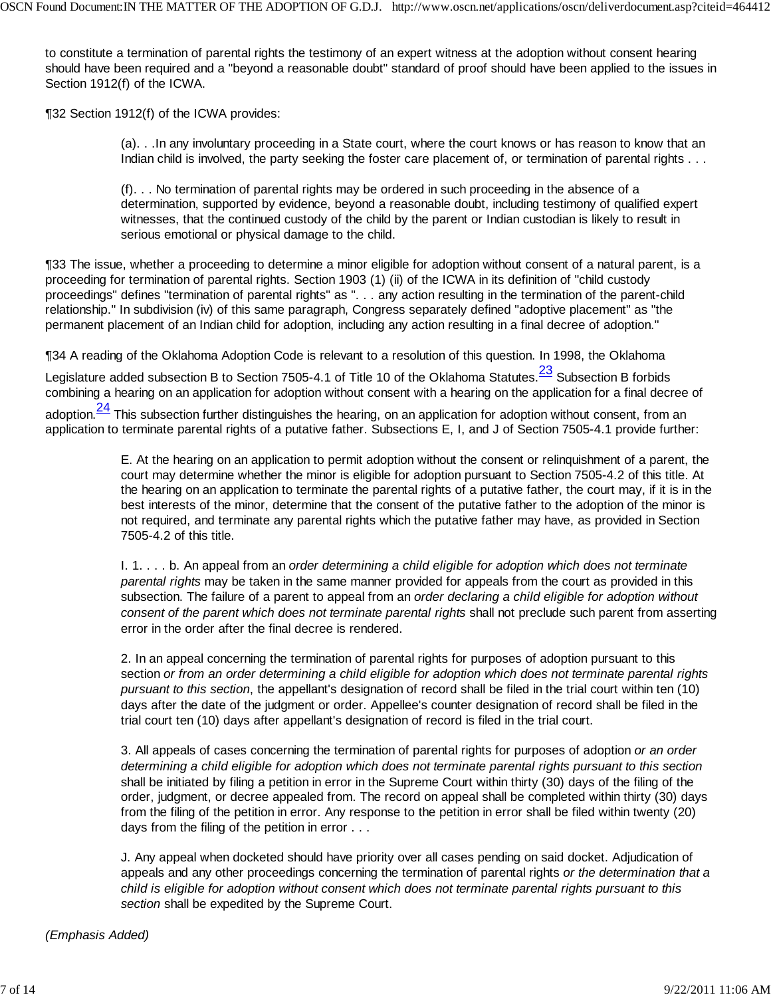to constitute a termination of parental rights the testimony of an expert witness at the adoption without consent hearing should have been required and a "beyond a reasonable doubt" standard of proof should have been applied to the issues in Section 1912(f) of the ICWA.

¶32 Section 1912(f) of the ICWA provides:

(a). . .In any involuntary proceeding in a State court, where the court knows or has reason to know that an Indian child is involved, the party seeking the foster care placement of, or termination of parental rights . . .

(f). . . No termination of parental rights may be ordered in such proceeding in the absence of a determination, supported by evidence, beyond a reasonable doubt, including testimony of qualified expert witnesses, that the continued custody of the child by the parent or Indian custodian is likely to result in serious emotional or physical damage to the child.

¶33 The issue, whether a proceeding to determine a minor eligible for adoption without consent of a natural parent, is a proceeding for termination of parental rights. Section 1903 (1) (ii) of the ICWA in its definition of "child custody proceedings" defines "termination of parental rights" as ". . . any action resulting in the termination of the parent-child relationship." In subdivision (iv) of this same paragraph, Congress separately defined "adoptive placement" as "the permanent placement of an Indian child for adoption, including any action resulting in a final decree of adoption."

¶34 A reading of the Oklahoma Adoption Code is relevant to a resolution of this question. In 1998, the Oklahoma

Legislature added subsection B to Section 7505-4.1 of Title 10 of the Oklahoma Statutes.<sup>23</sup> Subsection B forbids combining a hearing on an application for adoption without consent with a hearing on the application for a final decree of

adoption. $\frac{24}{1}$  This subsection further distinguishes the hearing, on an application for adoption without consent, from an application to terminate parental rights of a putative father. Subsections E, I, and J of Section 7505-4.1 provide further:

> E. At the hearing on an application to permit adoption without the consent or relinquishment of a parent, the court may determine whether the minor is eligible for adoption pursuant to Section 7505-4.2 of this title. At the hearing on an application to terminate the parental rights of a putative father, the court may, if it is in the best interests of the minor, determine that the consent of the putative father to the adoption of the minor is not required, and terminate any parental rights which the putative father may have, as provided in Section 7505-4.2 of this title.

> I. 1. . . . b. An appeal from an *order determining a child eligible for adoption which does not terminate parental rights* may be taken in the same manner provided for appeals from the court as provided in this subsection. The failure of a parent to appeal from an *order declaring a child eligible for adoption without consent of the parent which does not terminate parental rights* shall not preclude such parent from asserting error in the order after the final decree is rendered.

2. In an appeal concerning the termination of parental rights for purposes of adoption pursuant to this section *or from an order determining a child eligible for adoption which does not terminate parental rights pursuant to this section*, the appellant's designation of record shall be filed in the trial court within ten (10) days after the date of the judgment or order. Appellee's counter designation of record shall be filed in the trial court ten (10) days after appellant's designation of record is filed in the trial court.

3. All appeals of cases concerning the termination of parental rights for purposes of adoption *or an order determining a child eligible for adoption which does not terminate parental rights pursuant to this section* shall be initiated by filing a petition in error in the Supreme Court within thirty (30) days of the filing of the order, judgment, or decree appealed from. The record on appeal shall be completed within thirty (30) days from the filing of the petition in error. Any response to the petition in error shall be filed within twenty (20) days from the filing of the petition in error . . .

J. Any appeal when docketed should have priority over all cases pending on said docket. Adjudication of appeals and any other proceedings concerning the termination of parental rights *or the determination that a child is eligible for adoption without consent which does not terminate parental rights pursuant to this section* shall be expedited by the Supreme Court.

*(Emphasis Added)*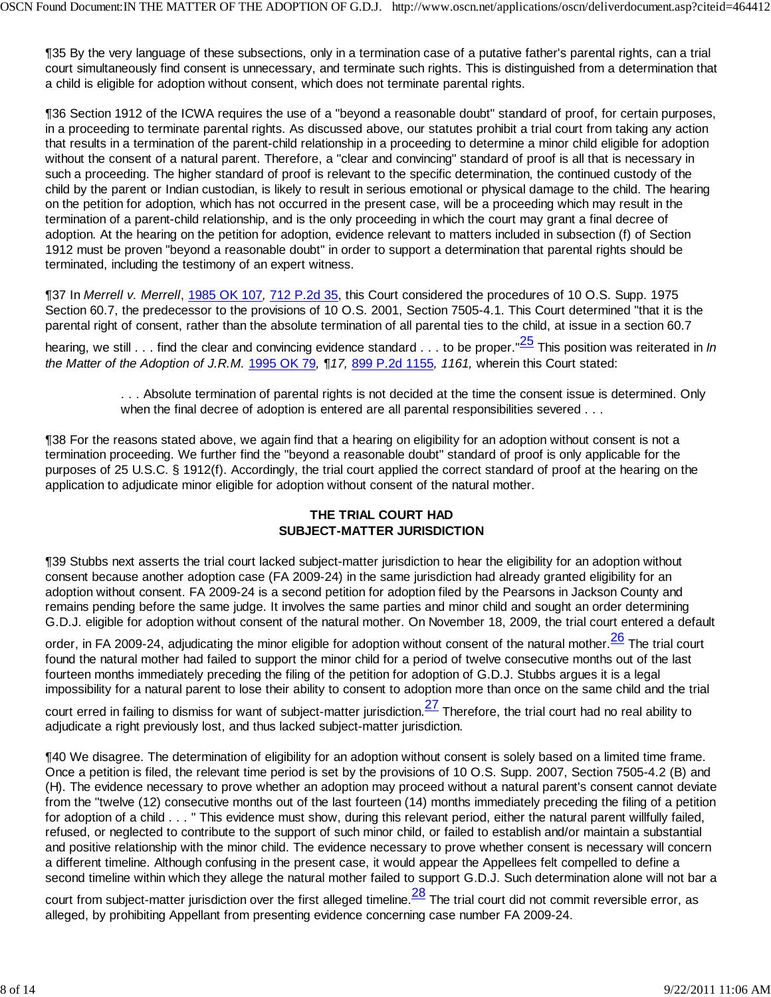¶35 By the very language of these subsections, only in a termination case of a putative father's parental rights, can a trial court simultaneously find consent is unnecessary, and terminate such rights. This is distinguished from a determination that a child is eligible for adoption without consent, which does not terminate parental rights.

¶36 Section 1912 of the ICWA requires the use of a "beyond a reasonable doubt" standard of proof, for certain purposes, in a proceeding to terminate parental rights. As discussed above, our statutes prohibit a trial court from taking any action that results in a termination of the parent-child relationship in a proceeding to determine a minor child eligible for adoption without the consent of a natural parent. Therefore, a "clear and convincing" standard of proof is all that is necessary in such a proceeding. The higher standard of proof is relevant to the specific determination, the continued custody of the child by the parent or Indian custodian, is likely to result in serious emotional or physical damage to the child. The hearing on the petition for adoption, which has not occurred in the present case, will be a proceeding which may result in the termination of a parent-child relationship, and is the only proceeding in which the court may grant a final decree of adoption. At the hearing on the petition for adoption, evidence relevant to matters included in subsection (f) of Section 1912 must be proven "beyond a reasonable doubt" in order to support a determination that parental rights should be terminated, including the testimony of an expert witness.

¶37 In *Merrell v. Merrell*, 1985 OK 107*,* 712 P.2d 35, this Court considered the procedures of 10 O.S. Supp. 1975 Section 60.7, the predecessor to the provisions of 10 O.S. 2001, Section 7505-4.1. This Court determined "that it is the parental right of consent, rather than the absolute termination of all parental ties to the child, at issue in a section 60.7

hearing, we still . . . find the clear and convincing evidence standard . . . to be proper."25 This position was reiterated in *In the Matter of the Adoption of J.R.M.* 1995 OK 79*, ¶17,* 899 P.2d 1155*, 1161,* wherein this Court stated:

> . . . Absolute termination of parental rights is not decided at the time the consent issue is determined. Only when the final decree of adoption is entered are all parental responsibilities severed . . .

¶38 For the reasons stated above, we again find that a hearing on eligibility for an adoption without consent is not a termination proceeding. We further find the "beyond a reasonable doubt" standard of proof is only applicable for the purposes of 25 U.S.C. § 1912(f). Accordingly, the trial court applied the correct standard of proof at the hearing on the application to adjudicate minor eligible for adoption without consent of the natural mother.

#### **THE TRIAL COURT HAD SUBJECT-MATTER JURISDICTION**

¶39 Stubbs next asserts the trial court lacked subject-matter jurisdiction to hear the eligibility for an adoption without consent because another adoption case (FA 2009-24) in the same jurisdiction had already granted eligibility for an adoption without consent. FA 2009-24 is a second petition for adoption filed by the Pearsons in Jackson County and remains pending before the same judge. It involves the same parties and minor child and sought an order determining G.D.J. eligible for adoption without consent of the natural mother. On November 18, 2009, the trial court entered a default

order, in FA 2009-24, adjudicating the minor eligible for adoption without consent of the natural mother. $\frac{26}{10}$  The trial court found the natural mother had failed to support the minor child for a period of twelve consecutive months out of the last fourteen months immediately preceding the filing of the petition for adoption of G.D.J. Stubbs argues it is a legal impossibility for a natural parent to lose their ability to consent to adoption more than once on the same child and the trial

court erred in failing to dismiss for want of subject-matter jurisdiction. $\frac{27}{10}$  Therefore, the trial court had no real ability to adjudicate a right previously lost, and thus lacked subject-matter jurisdiction.

¶40 We disagree. The determination of eligibility for an adoption without consent is solely based on a limited time frame. Once a petition is filed, the relevant time period is set by the provisions of 10 O.S. Supp. 2007, Section 7505-4.2 (B) and (H). The evidence necessary to prove whether an adoption may proceed without a natural parent's consent cannot deviate from the "twelve (12) consecutive months out of the last fourteen (14) months immediately preceding the filing of a petition for adoption of a child . . . " This evidence must show, during this relevant period, either the natural parent willfully failed, refused, or neglected to contribute to the support of such minor child, or failed to establish and/or maintain a substantial and positive relationship with the minor child. The evidence necessary to prove whether consent is necessary will concern a different timeline. Although confusing in the present case, it would appear the Appellees felt compelled to define a second timeline within which they allege the natural mother failed to support G.D.J. Such determination alone will not bar a

court from subject-matter jurisdiction over the first alleged timeline.  $\frac{28}{10}$  The trial court did not commit reversible error, as alleged, by prohibiting Appellant from presenting evidence concerning case number FA 2009-24.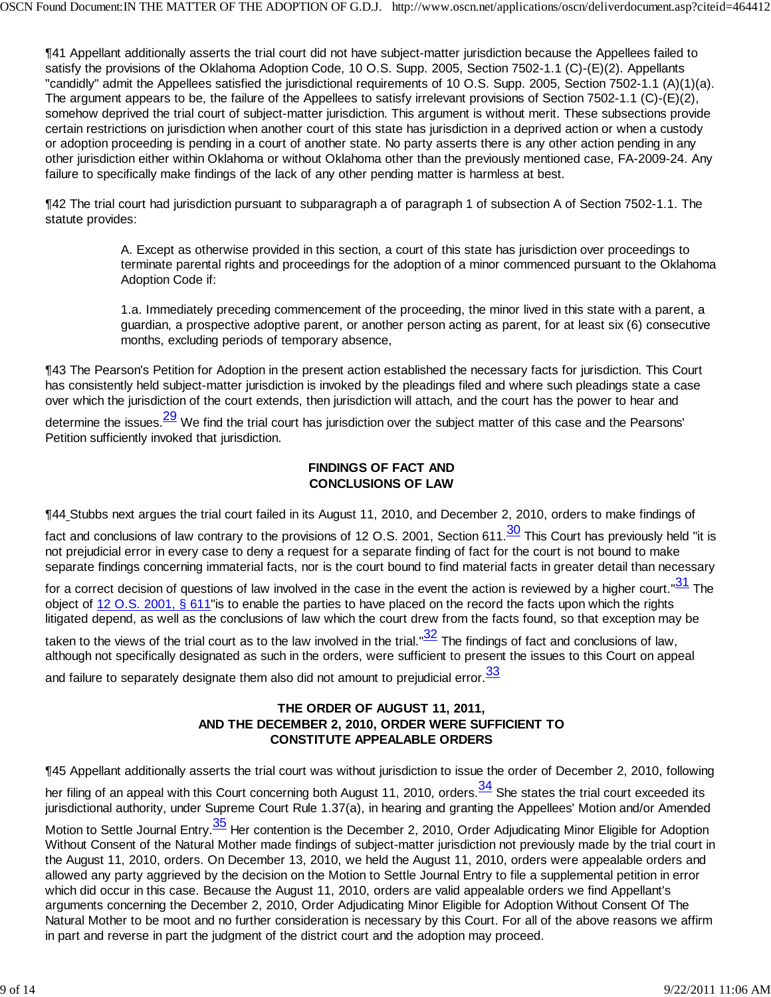¶41 Appellant additionally asserts the trial court did not have subject-matter jurisdiction because the Appellees failed to satisfy the provisions of the Oklahoma Adoption Code, 10 O.S. Supp. 2005, Section 7502-1.1 (C)-(E)(2). Appellants "candidly" admit the Appellees satisfied the jurisdictional requirements of 10 O.S. Supp. 2005, Section 7502-1.1 (A)(1)(a). The argument appears to be, the failure of the Appellees to satisfy irrelevant provisions of Section 7502-1.1 (C)-(E)(2), somehow deprived the trial court of subject-matter jurisdiction. This argument is without merit. These subsections provide certain restrictions on jurisdiction when another court of this state has jurisdiction in a deprived action or when a custody or adoption proceeding is pending in a court of another state. No party asserts there is any other action pending in any other jurisdiction either within Oklahoma or without Oklahoma other than the previously mentioned case, FA-2009-24. Any failure to specifically make findings of the lack of any other pending matter is harmless at best.

¶42 The trial court had jurisdiction pursuant to subparagraph a of paragraph 1 of subsection A of Section 7502-1.1. The statute provides:

> A. Except as otherwise provided in this section, a court of this state has jurisdiction over proceedings to terminate parental rights and proceedings for the adoption of a minor commenced pursuant to the Oklahoma Adoption Code if:

> 1.a. Immediately preceding commencement of the proceeding, the minor lived in this state with a parent, a guardian, a prospective adoptive parent, or another person acting as parent, for at least six (6) consecutive months, excluding periods of temporary absence,

¶43 The Pearson's Petition for Adoption in the present action established the necessary facts for jurisdiction. This Court has consistently held subject-matter jurisdiction is invoked by the pleadings filed and where such pleadings state a case over which the jurisdiction of the court extends, then jurisdiction will attach, and the court has the power to hear and

determine the issues. $\frac{29}{10}$  We find the trial court has jurisdiction over the subject matter of this case and the Pearsons' Petition sufficiently invoked that jurisdiction.

### **FINDINGS OF FACT AND CONCLUSIONS OF LAW**

¶44 Stubbs next argues the trial court failed in its August 11, 2010, and December 2, 2010, orders to make findings of

fact and conclusions of law contrary to the provisions of 12 O.S. 2001, Section 611. $\frac{30}{10}$  This Court has previously held "it is not prejudicial error in every case to deny a request for a separate finding of fact for the court is not bound to make separate findings concerning immaterial facts, nor is the court bound to find material facts in greater detail than necessary

for a correct decision of questions of law involved in the case in the event the action is reviewed by a higher court." $\frac{31}{1}$  The object of 12 O.S. 2001, § 611"is to enable the parties to have placed on the record the facts upon which the rights litigated depend, as well as the conclusions of law which the court drew from the facts found, so that exception may be

taken to the views of the trial court as to the law involved in the trial." $\frac{32}{1}$  The findings of fact and conclusions of law, although not specifically designated as such in the orders, were sufficient to present the issues to this Court on appeal

and failure to separately designate them also did not amount to prejudicial error.  $\frac{33}{5}$ 

# **THE ORDER OF AUGUST 11, 2011, AND THE DECEMBER 2, 2010, ORDER WERE SUFFICIENT TO CONSTITUTE APPEALABLE ORDERS**

¶45 Appellant additionally asserts the trial court was without jurisdiction to issue the order of December 2, 2010, following

her filing of an appeal with this Court concerning both August 11, 2010, orders. $\frac{34}{3}$  She states the trial court exceeded its jurisdictional authority, under Supreme Court Rule 1.37(a), in hearing and granting the Appellees' Motion and/or Amended

Motion to Settle Journal Entry.<sup>35</sup> Her contention is the December 2, 2010, Order Adjudicating Minor Eligible for Adoption Without Consent of the Natural Mother made findings of subject-matter jurisdiction not previously made by the trial court in the August 11, 2010, orders. On December 13, 2010, we held the August 11, 2010, orders were appealable orders and allowed any party aggrieved by the decision on the Motion to Settle Journal Entry to file a supplemental petition in error which did occur in this case. Because the August 11, 2010, orders are valid appealable orders we find Appellant's arguments concerning the December 2, 2010, Order Adjudicating Minor Eligible for Adoption Without Consent Of The Natural Mother to be moot and no further consideration is necessary by this Court. For all of the above reasons we affirm in part and reverse in part the judgment of the district court and the adoption may proceed.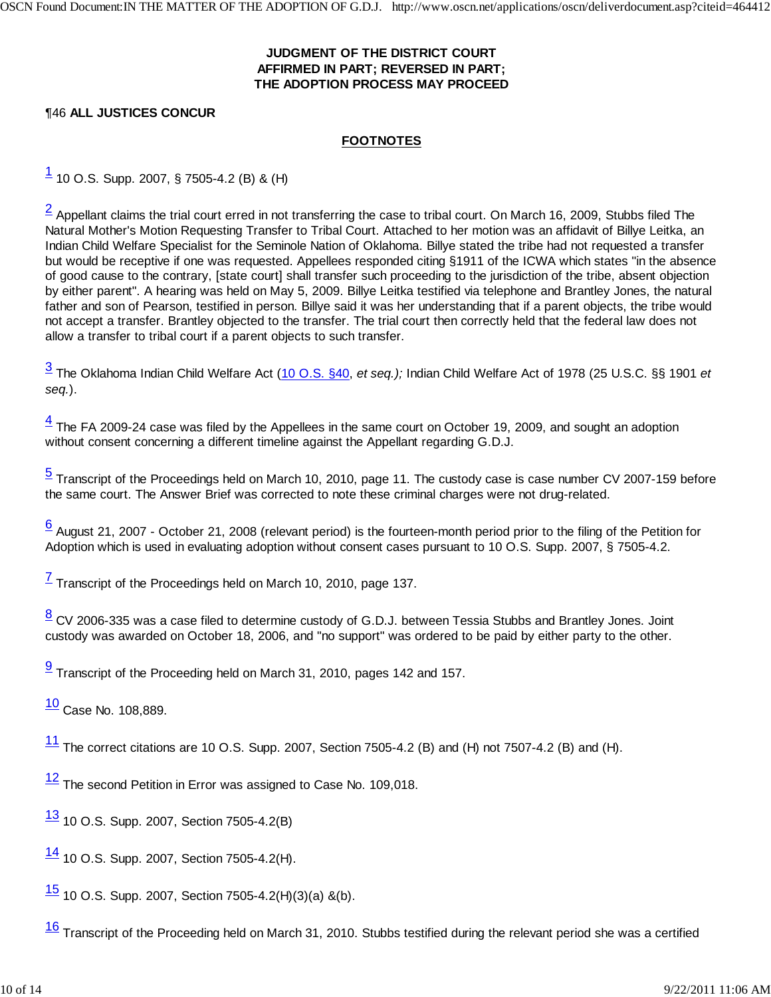# **JUDGMENT OF THE DISTRICT COURT AFFIRMED IN PART; REVERSED IN PART; THE ADOPTION PROCESS MAY PROCEED**

# ¶46 **ALL JUSTICES CONCUR**

# **FOOTNOTES**

 $\frac{1}{1}$  10 O.S. Supp. 2007, § 7505-4.2 (B) & (H)

 $\frac{2}{3}$  Appellant claims the trial court erred in not transferring the case to tribal court. On March 16, 2009, Stubbs filed The Natural Mother's Motion Requesting Transfer to Tribal Court. Attached to her motion was an affidavit of Billye Leitka, an Indian Child Welfare Specialist for the Seminole Nation of Oklahoma. Billye stated the tribe had not requested a transfer but would be receptive if one was requested. Appellees responded citing §1911 of the ICWA which states "in the absence of good cause to the contrary, [state court] shall transfer such proceeding to the jurisdiction of the tribe, absent objection by either parent". A hearing was held on May 5, 2009. Billye Leitka testified via telephone and Brantley Jones, the natural father and son of Pearson, testified in person. Billye said it was her understanding that if a parent objects, the tribe would not accept a transfer. Brantley objected to the transfer. The trial court then correctly held that the federal law does not allow a transfer to tribal court if a parent objects to such transfer.

3 The Oklahoma Indian Child Welfare Act (10 O.S. §40, *et seq.);* Indian Child Welfare Act of 1978 (25 U.S.C. §§ 1901 *et seq.*).

 $\frac{4}{3}$  The FA 2009-24 case was filed by the Appellees in the same court on October 19, 2009, and sought an adoption without consent concerning a different timeline against the Appellant regarding G.D.J.

5 Transcript of the Proceedings held on March 10, 2010, page 11. The custody case is case number CV 2007-159 before the same court. The Answer Brief was corrected to note these criminal charges were not drug-related.

 $6$  August 21, 2007 - October 21, 2008 (relevant period) is the fourteen-month period prior to the filing of the Petition for Adoption which is used in evaluating adoption without consent cases pursuant to 10 O.S. Supp. 2007, § 7505-4.2.

 $\frac{7}{1}$  Transcript of the Proceedings held on March 10, 2010, page 137.

 $\frac{8}{3}$  CV 2006-335 was a case filed to determine custody of G.D.J. between Tessia Stubbs and Brantley Jones. Joint custody was awarded on October 18, 2006, and "no support" was ordered to be paid by either party to the other.

 $\frac{9}{2}$  Transcript of the Proceeding held on March 31, 2010, pages 142 and 157.

 $\frac{10}{10}$  Case No. 108,889.

 $11$  The correct citations are 10 O.S. Supp. 2007, Section 7505-4.2 (B) and (H) not 7507-4.2 (B) and (H).

 $12$  The second Petition in Error was assigned to Case No. 109,018.

 $\frac{13}{13}$  10 O.S. Supp. 2007, Section 7505-4.2(B)

 $\frac{14}{10}$  10 O.S. Supp. 2007, Section 7505-4.2(H).

 $\frac{15}{10}$  10 O.S. Supp. 2007, Section 7505-4.2(H)(3)(a) &(b).

 $\frac{16}{16}$  Transcript of the Proceeding held on March 31, 2010. Stubbs testified during the relevant period she was a certified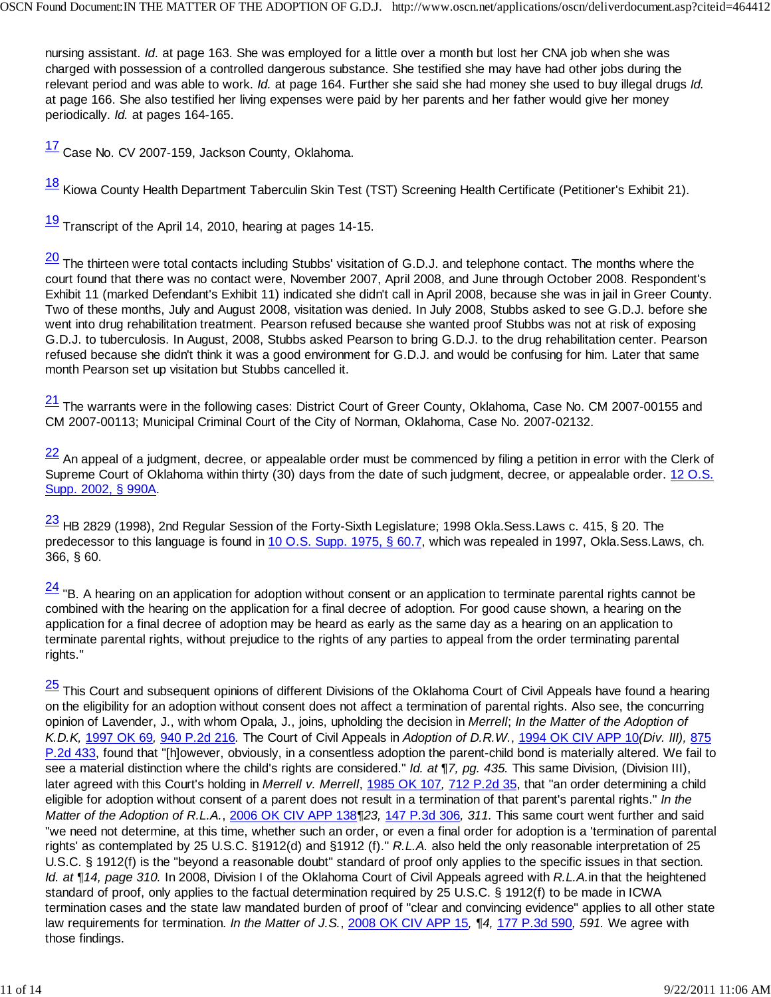nursing assistant. *Id*. at page 163. She was employed for a little over a month but lost her CNA job when she was charged with possession of a controlled dangerous substance. She testified she may have had other jobs during the relevant period and was able to work. *Id.* at page 164. Further she said she had money she used to buy illegal drugs *Id.* at page 166. She also testified her living expenses were paid by her parents and her father would give her money periodically. *Id.* at pages 164-165.

17 Case No. CV 2007-159, Jackson County, Oklahoma.

18 Kiowa County Health Department Taberculin Skin Test (TST) Screening Health Certificate (Petitioner's Exhibit 21).

 $\frac{19}{12}$  Transcript of the April 14, 2010, hearing at pages 14-15.

 $\frac{20}{10}$  The thirteen were total contacts including Stubbs' visitation of G.D.J. and telephone contact. The months where the court found that there was no contact were, November 2007, April 2008, and June through October 2008. Respondent's Exhibit 11 (marked Defendant's Exhibit 11) indicated she didn't call in April 2008, because she was in jail in Greer County. Two of these months, July and August 2008, visitation was denied. In July 2008, Stubbs asked to see G.D.J. before she went into drug rehabilitation treatment. Pearson refused because she wanted proof Stubbs was not at risk of exposing G.D.J. to tuberculosis. In August, 2008, Stubbs asked Pearson to bring G.D.J. to the drug rehabilitation center. Pearson refused because she didn't think it was a good environment for G.D.J. and would be confusing for him. Later that same month Pearson set up visitation but Stubbs cancelled it.

 $\frac{21}{1}$  The warrants were in the following cases: District Court of Greer County, Oklahoma, Case No. CM 2007-00155 and CM 2007-00113; Municipal Criminal Court of the City of Norman, Oklahoma, Case No. 2007-02132.

 $\frac{22}{1}$  An appeal of a judgment, decree, or appealable order must be commenced by filing a petition in error with the Clerk of Supreme Court of Oklahoma within thirty (30) days from the date of such judgment, decree, or appealable order. 12 O.S. Supp. 2002, § 990A.

 $\frac{23}{18}$  HB 2829 (1998), 2nd Regular Session of the Forty-Sixth Legislature; 1998 Okla.Sess.Laws c. 415, § 20. The predecessor to this language is found in 10 O.S. Supp. 1975, § 60.7, which was repealed in 1997, Okla.Sess.Laws, ch. 366, § 60.

 $\frac{24}{1}$  "B. A hearing on an application for adoption without consent or an application to terminate parental rights cannot be combined with the hearing on the application for a final decree of adoption. For good cause shown, a hearing on the application for a final decree of adoption may be heard as early as the same day as a hearing on an application to terminate parental rights, without prejudice to the rights of any parties to appeal from the order terminating parental rights."

<sup>25</sup> This Court and subsequent opinions of different Divisions of the Oklahoma Court of Civil Appeals have found a hearing on the eligibility for an adoption without consent does not affect a termination of parental rights. Also see, the concurring opinion of Lavender, J., with whom Opala, J., joins, upholding the decision in *Merrell*; *In the Matter of the Adoption of K.D.K,* 1997 OK 69*,* 940 P.2d 216*.* The Court of Civil Appeals in *Adoption of D.R.W.*, 1994 OK CIV APP 10*(Div. III),* 875 P.2d 433, found that "[h]owever, obviously, in a consentless adoption the parent-child bond is materially altered. We fail to see a material distinction where the child's rights are considered." *Id. at* ¶*7, pg. 435.* This same Division, (Division III), later agreed with this Court's holding in *Merrell v. Merrell*, 1985 OK 107*,* 712 P.2d 35, that "an order determining a child eligible for adoption without consent of a parent does not result in a termination of that parent's parental rights." *In the Matter of the Adoption of R.L.A.*, 2006 OK CIV APP 138*¶23,* 147 P.3d 306*, 311.* This same court went further and said "we need not determine, at this time, whether such an order, or even a final order for adoption is a 'termination of parental rights' as contemplated by 25 U.S.C. §1912(d) and §1912 (f)." *R.L.A.* also held the only reasonable interpretation of 25 U.S.C. § 1912(f) is the "beyond a reasonable doubt" standard of proof only applies to the specific issues in that section. *Id. at ¶14, page 310.* In 2008, Division I of the Oklahoma Court of Civil Appeals agreed with *R.L.A.*in that the heightened standard of proof, only applies to the factual determination required by 25 U.S.C. § 1912(f) to be made in ICWA termination cases and the state law mandated burden of proof of "clear and convincing evidence" applies to all other state law requirements for termination. *In the Matter of J.S.*, 2008 OK CIV APP 15*, ¶4,* 177 P.3d 590*, 591.* We agree with those findings.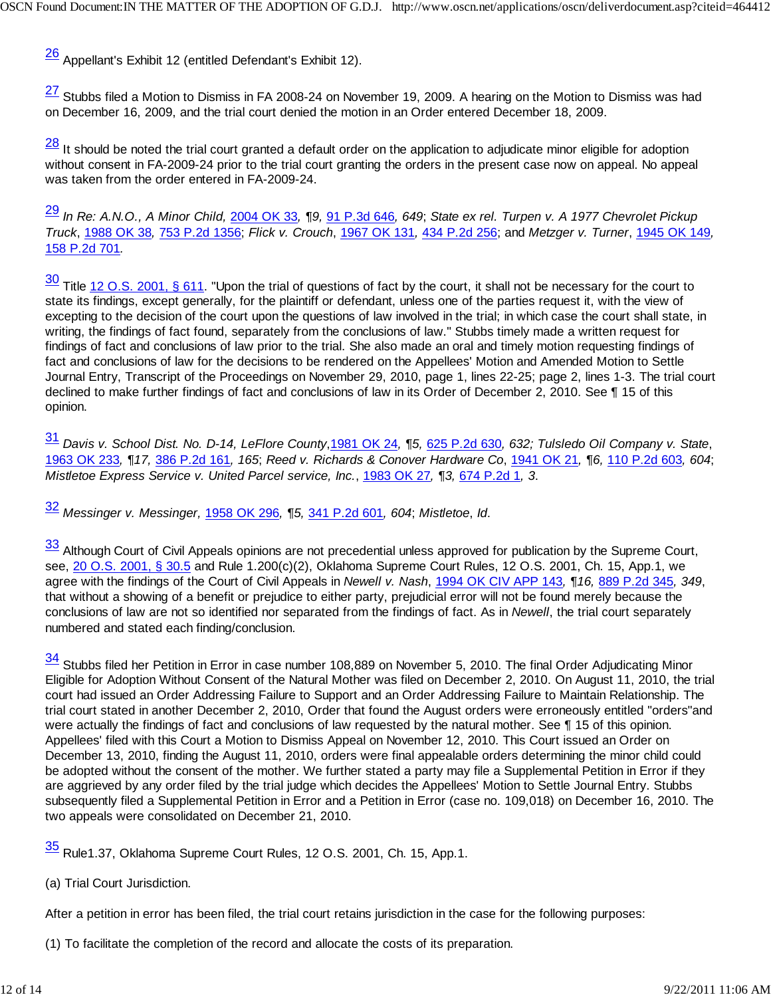26 Appellant's Exhibit 12 (entitled Defendant's Exhibit 12).

 $\frac{27}{1}$  Stubbs filed a Motion to Dismiss in FA 2008-24 on November 19, 2009. A hearing on the Motion to Dismiss was had on December 16, 2009, and the trial court denied the motion in an Order entered December 18, 2009.

 $\frac{28}{11}$  It should be noted the trial court granted a default order on the application to adjudicate minor eligible for adoption without consent in FA-2009-24 prior to the trial court granting the orders in the present case now on appeal. No appeal was taken from the order entered in FA-2009-24.

<sup>29</sup> *In Re: A.N.O., A Minor Child,* 2004 OK 33*, ¶9,* 91 P.3d 646*, 649*; *State ex rel. Turpen v. A 1977 Chevrolet Pickup Truck*, 1988 OK 38*,* 753 P.2d 1356; *Flick v. Crouch*, 1967 OK 131*,* 434 P.2d 256; and *Metzger v. Turner*, 1945 OK 149*,* 158 P.2d 701*.*

30 Title 12 O.S. 2001, § 611. "Upon the trial of questions of fact by the court, it shall not be necessary for the court to state its findings, except generally, for the plaintiff or defendant, unless one of the parties request it, with the view of excepting to the decision of the court upon the questions of law involved in the trial; in which case the court shall state, in writing, the findings of fact found, separately from the conclusions of law." Stubbs timely made a written request for findings of fact and conclusions of law prior to the trial. She also made an oral and timely motion requesting findings of fact and conclusions of law for the decisions to be rendered on the Appellees' Motion and Amended Motion to Settle Journal Entry, Transcript of the Proceedings on November 29, 2010, page 1, lines 22-25; page 2, lines 1-3. The trial court declined to make further findings of fact and conclusions of law in its Order of December 2, 2010. See ¶ 15 of this opinion.

<sup>31</sup> *Davis v. School Dist. No. D-14, LeFlore County*,1981 OK 24*, ¶5,* 625 P.2d 630*, 632; Tulsledo Oil Company v. State*, 1963 OK 233*, ¶17,* 386 P.2d 161*, 165*; *Reed v. Richards & Conover Hardware Co*, 1941 OK 21*, ¶6,* 110 P.2d 603*, 604*; *Mistletoe Express Service v. United Parcel service, Inc.*, 1983 OK 27*, ¶3,* 674 P.2d 1*, 3*.

<sup>32</sup> *Messinger v. Messinger,* 1958 OK 296*, ¶5,* 341 P.2d 601*, 604*; *Mistletoe*, *Id*.

33 Although Court of Civil Appeals opinions are not precedential unless approved for publication by the Supreme Court, see, 20 O.S. 2001, § 30.5 and Rule 1.200(c)(2), Oklahoma Supreme Court Rules, 12 O.S. 2001, Ch. 15, App.1, we agree with the findings of the Court of Civil Appeals in *Newell v. Nash*, 1994 OK CIV APP 143*, ¶16,* 889 P.2d 345*, 349*, that without a showing of a benefit or prejudice to either party, prejudicial error will not be found merely because the conclusions of law are not so identified nor separated from the findings of fact. As in *Newell*, the trial court separately numbered and stated each finding/conclusion.

34 Stubbs filed her Petition in Error in case number 108,889 on November 5, 2010. The final Order Adjudicating Minor Eligible for Adoption Without Consent of the Natural Mother was filed on December 2, 2010. On August 11, 2010, the trial court had issued an Order Addressing Failure to Support and an Order Addressing Failure to Maintain Relationship. The trial court stated in another December 2, 2010, Order that found the August orders were erroneously entitled "orders"and were actually the findings of fact and conclusions of law requested by the natural mother. See ¶ 15 of this opinion. Appellees' filed with this Court a Motion to Dismiss Appeal on November 12, 2010. This Court issued an Order on December 13, 2010, finding the August 11, 2010, orders were final appealable orders determining the minor child could be adopted without the consent of the mother. We further stated a party may file a Supplemental Petition in Error if they are aggrieved by any order filed by the trial judge which decides the Appellees' Motion to Settle Journal Entry. Stubbs subsequently filed a Supplemental Petition in Error and a Petition in Error (case no. 109,018) on December 16, 2010. The two appeals were consolidated on December 21, 2010.

35 Rule1.37, Oklahoma Supreme Court Rules, 12 O.S. 2001, Ch. 15, App.1.

### (a) Trial Court Jurisdiction.

After a petition in error has been filed, the trial court retains jurisdiction in the case for the following purposes:

(1) To facilitate the completion of the record and allocate the costs of its preparation.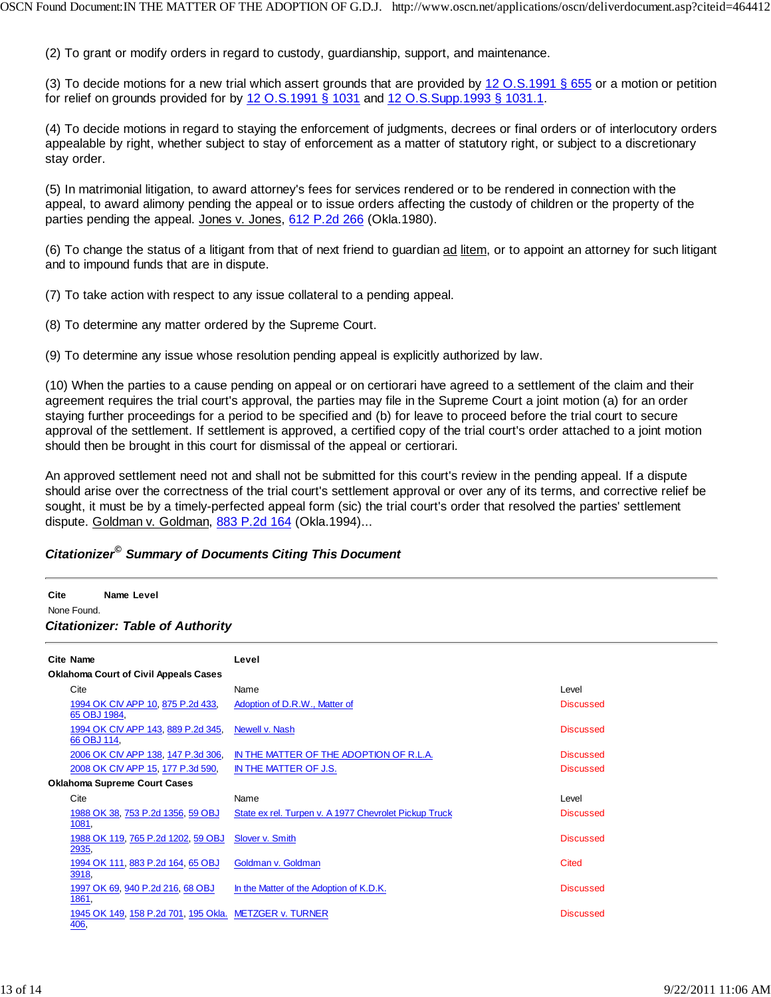(2) To grant or modify orders in regard to custody, guardianship, support, and maintenance.

(3) To decide motions for a new trial which assert grounds that are provided by  $12$  O.S.1991 § 655 or a motion or petition for relief on grounds provided for by 12 O.S.1991 § 1031 and 12 O.S.Supp.1993 § 1031.1.

(4) To decide motions in regard to staying the enforcement of judgments, decrees or final orders or of interlocutory orders appealable by right, whether subject to stay of enforcement as a matter of statutory right, or subject to a discretionary stay order.

(5) In matrimonial litigation, to award attorney's fees for services rendered or to be rendered in connection with the appeal, to award alimony pending the appeal or to issue orders affecting the custody of children or the property of the parties pending the appeal. Jones v. Jones, 612 P.2d 266 (Okla.1980).

(6) To change the status of a litigant from that of next friend to guardian ad litem, or to appoint an attorney for such litigant and to impound funds that are in dispute.

(7) To take action with respect to any issue collateral to a pending appeal.

(8) To determine any matter ordered by the Supreme Court.

(9) To determine any issue whose resolution pending appeal is explicitly authorized by law.

(10) When the parties to a cause pending on appeal or on certiorari have agreed to a settlement of the claim and their agreement requires the trial court's approval, the parties may file in the Supreme Court a joint motion (a) for an order staying further proceedings for a period to be specified and (b) for leave to proceed before the trial court to secure approval of the settlement. If settlement is approved, a certified copy of the trial court's order attached to a joint motion should then be brought in this court for dismissal of the appeal or certiorari.

An approved settlement need not and shall not be submitted for this court's review in the pending appeal. If a dispute should arise over the correctness of the trial court's settlement approval or over any of its terms, and corrective relief be sought, it must be by a timely-perfected appeal form (sic) the trial court's order that resolved the parties' settlement dispute. Goldman v. Goldman, 883 P.2d 164 (Okla.1994)...

# *Citationizer© Summary of Documents Citing This Document*

#### **Cite Name Level** None Found. *Citationizer: Table of Authority*

| Cite Name                                                      | Level                                                 |                  |  |  |
|----------------------------------------------------------------|-------------------------------------------------------|------------------|--|--|
| <b>Oklahoma Court of Civil Appeals Cases</b>                   |                                                       |                  |  |  |
| Cite                                                           | Name                                                  | Level            |  |  |
| 1994 OK CIV APP 10, 875 P.2d 433,<br>65 OBJ 1984,              | Adoption of D.R.W., Matter of                         | <b>Discussed</b> |  |  |
| 1994 OK CIV APP 143, 889 P.2d 345,<br>66 OBJ 114,              | Newell v. Nash                                        | <b>Discussed</b> |  |  |
| 2006 OK CIV APP 138, 147 P.3d 306,                             | IN THE MATTER OF THE ADOPTION OF R.L.A.               | <b>Discussed</b> |  |  |
| 2008 OK CIV APP 15, 177 P.3d 590,                              | IN THE MATTER OF J.S.                                 | <b>Discussed</b> |  |  |
| <b>Oklahoma Supreme Court Cases</b>                            |                                                       |                  |  |  |
| Cite                                                           | Name                                                  | Level            |  |  |
| 1988 OK 38, 753 P.2d 1356, 59 OBJ<br>1081,                     | State ex rel. Turpen v. A 1977 Chevrolet Pickup Truck | <b>Discussed</b> |  |  |
| 1988 OK 119, 765 P.2d 1202, 59 OBJ<br>2935,                    | Slover v. Smith                                       | <b>Discussed</b> |  |  |
| 1994 OK 111, 883 P.2d 164, 65 OBJ<br>3918,                     | Goldman v. Goldman                                    | Cited            |  |  |
| 1997 OK 69, 940 P.2d 216, 68 OBJ<br>1861,                      | In the Matter of the Adoption of K.D.K.               | <b>Discussed</b> |  |  |
| 1945 OK 149, 158 P.2d 701, 195 Okla. METZGER v. TURNER<br>406, |                                                       | <b>Discussed</b> |  |  |